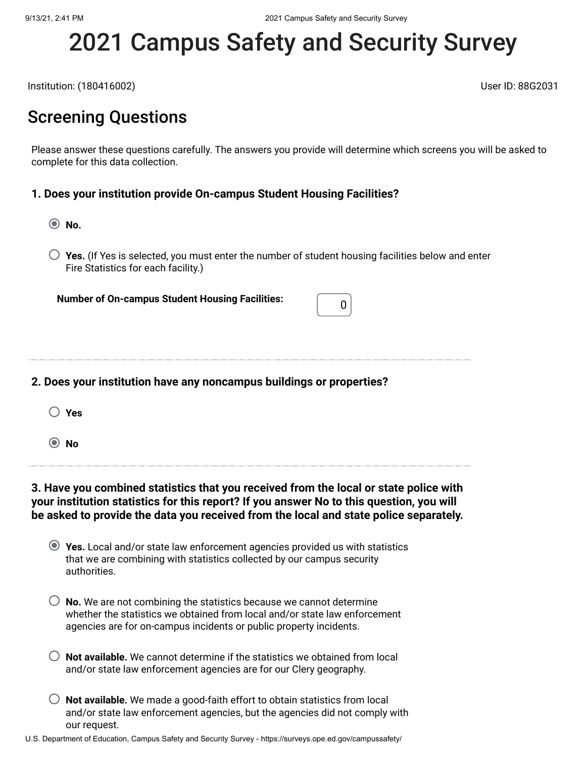# 2021 Campus Safety and Security Survey

Institution: (180416002) User ID: 88G2031

# Screening Questions

Please answer these questions carefully. The answers you provide will determine which screens you will be asked to complete for this data collection.

#### **1. Does your institution provide On-campus Student Housing Facilities?**

**No.**

**Yes.** (If Yes is selected, you must enter the number of student housing facilities below and enter Fire Statistics for each facility.)

**Number of On-campus Student Housing Facilities:**  $\begin{bmatrix} 0 \end{bmatrix}$ 

## **2. Does your institution have any noncampus buildings or properties?**

**No**

## **3. Have you combined statistics that you received from the local or state police with your institution statistics for this report? If you answer No to this question, you will be asked to provide the data you received from the local and state police separately.**

| ◯ Yes. Local and/or state law enforcement agencies provided us with statistics |
|--------------------------------------------------------------------------------|
| that we are combining with statistics collected by our campus security         |
| authorities.                                                                   |

- $\bigcirc$  **No.** We are not combining the statistics because we cannot determine whether the statistics we obtained from local and/or state law enforcement agencies are for on-campus incidents or public property incidents.
- **Not available.** We cannot determine if the statistics we obtained from local and/or state law enforcement agencies are for our Clery geography.
- **Not available.** We made a good-faith effort to obtain statistics from local and/or state law enforcement agencies, but the agencies did not comply with our request.